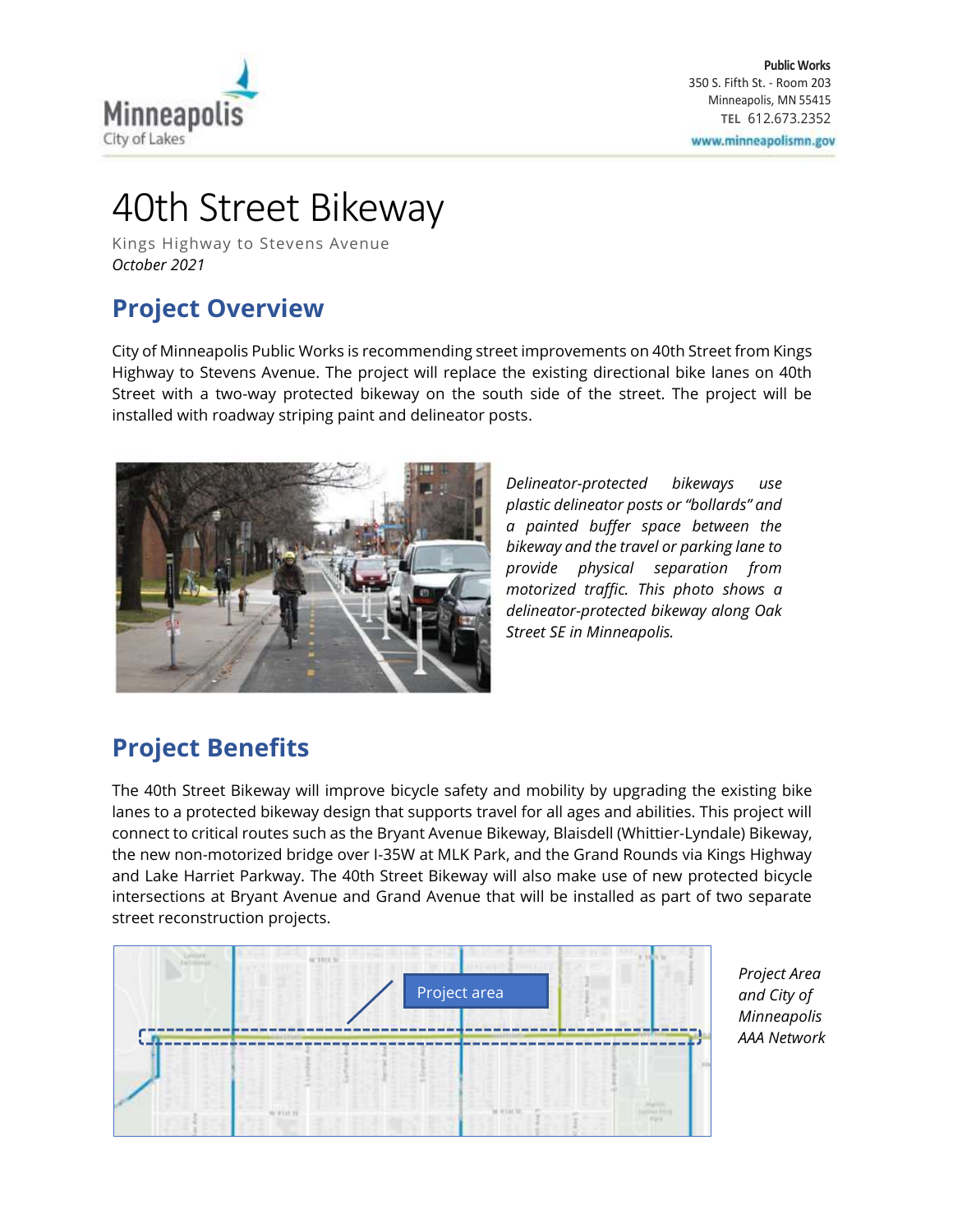

# 40th Street Bikeway

Kings Highway to Stevens Avenue *October 2021*

## **Project Overview**

City of Minneapolis Public Works is recommending street improvements on 40th Street from Kings Highway to Stevens Avenue. The project will replace the existing directional bike lanes on 40th Street with a two-way protected bikeway on the south side of the street. The project will be installed with roadway striping paint and delineator posts.



*Delineator-protected bikeways use plastic delineator posts or "bollards" and a painted buffer space between the bikeway and the travel or parking lane to provide physical separation from motorized traffic. This photo shows a delineator-protected bikeway along Oak Street SE in Minneapolis.*

### **Project Benefits**

The 40th Street Bikeway will improve bicycle safety and mobility by upgrading the existing bike lanes to a protected bikeway design that supports travel for all ages and abilities. This project will connect to critical routes such as the Bryant Avenue Bikeway, Blaisdell (Whittier-Lyndale) Bikeway, the new non-motorized bridge over I-35W at MLK Park, and the Grand Rounds via Kings Highway and Lake Harriet Parkway. The 40th Street Bikeway will also make use of new protected bicycle intersections at Bryant Avenue and Grand Avenue that will be installed as part of two separate street reconstruction projects.



*Project Area and City of Minneapolis AAA Network*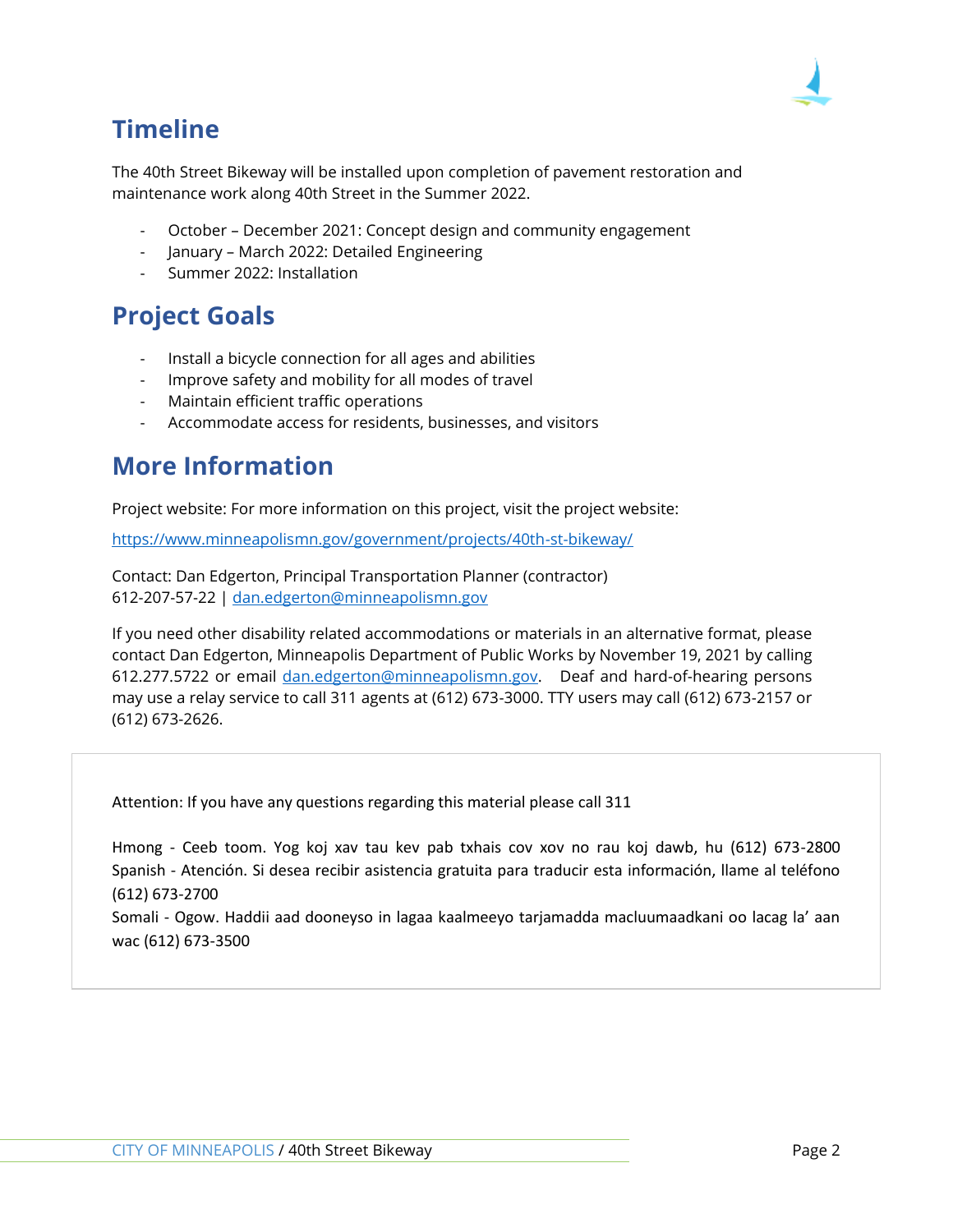

# **Timeline**

The 40th Street Bikeway will be installed upon completion of pavement restoration and maintenance work along 40th Street in the Summer 2022.

- October December 2021: Concept design and community engagement
- January March 2022: Detailed Engineering
- Summer 2022: Installation

### **Project Goals**

- Install a bicycle connection for all ages and abilities
- Improve safety and mobility for all modes of travel
- Maintain efficient traffic operations
- Accommodate access for residents, businesses, and visitors

### **More Information**

Project website: For more information on this project, visit the project website:

<https://www.minneapolismn.gov/government/projects/40th-st-bikeway/>

Contact: Dan Edgerton, Principal Transportation Planner (contractor) 612-207-57-22 | [dan.edgerton@minneapolismn.gov](mailto:dan.edgerton@minneapolismn.gov)

If you need other disability related accommodations or materials in an alternative format, please contact Dan Edgerton, Minneapolis Department of Public Works by November 19, 2021 by calling 612.277.5722 or email [dan.edgerton@minneapolismn.gov.](mailto:dan.edgerton@minneapolismn.gov) Deaf and hard-of-hearing persons may use a relay service to call 311 agents at (612) 673-3000. TTY users may call (612) 673-2157 or (612) 673-2626.

Attention: If you have any questions regarding this material please call 311

Hmong - Ceeb toom. Yog koj xav tau kev pab txhais cov xov no rau koj dawb, hu (612) 673-2800 Spanish - Atención. Si desea recibir asistencia gratuita para traducir esta información, llame al teléfono (612) 673-2700

Somali - Ogow. Haddii aad dooneyso in lagaa kaalmeeyo tarjamadda macluumaadkani oo lacag la' aan wac (612) 673-3500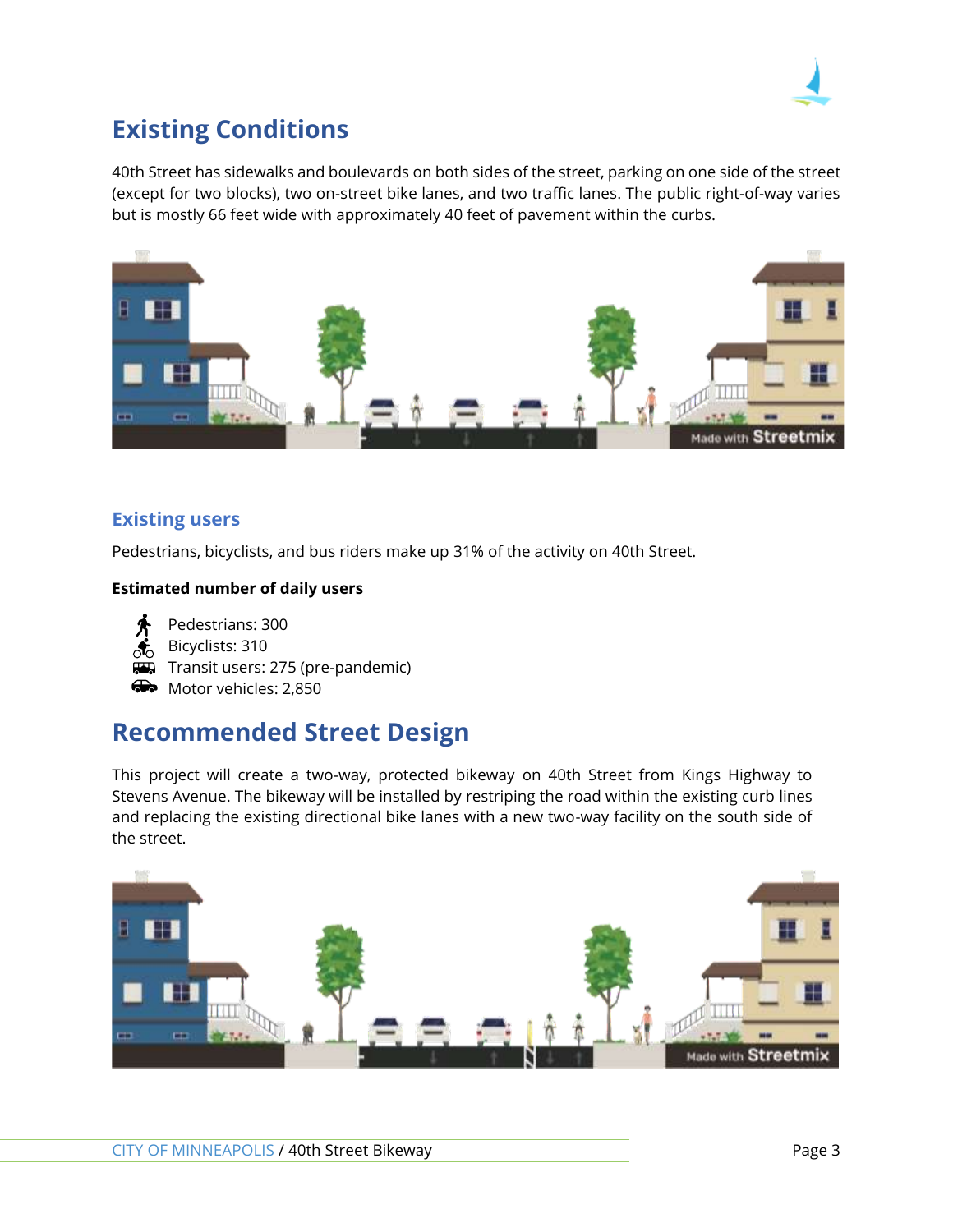

# **Existing Conditions**

40th Street has sidewalks and boulevards on both sides of the street, parking on one side of the street (except for two blocks), two on-street bike lanes, and two traffic lanes. The public right-of-way varies but is mostly 66 feet wide with approximately 40 feet of pavement within the curbs.



#### **Existing users**

Pedestrians, bicyclists, and bus riders make up 31% of the activity on 40th Street.

#### **Estimated number of daily users**



 $\overline{H}$  Transit users: 275 (pre-pandemic)

• Motor vehicles: 2.850

### **Recommended Street Design**

This project will create a two-way, protected bikeway on 40th Street from Kings Highway to Stevens Avenue. The bikeway will be installed by restriping the road within the existing curb lines and replacing the existing directional bike lanes with a new two-way facility on the south side of the street.